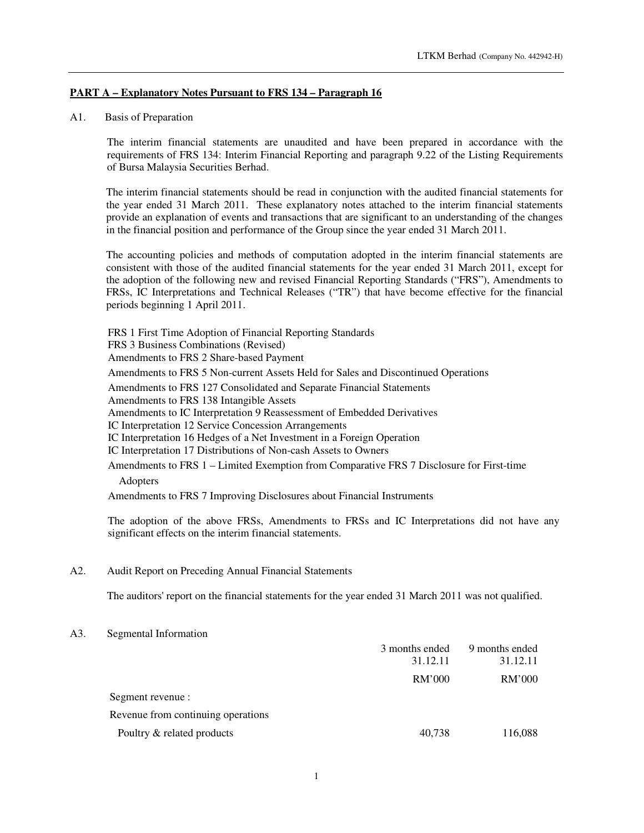## **PART A – Explanatory Notes Pursuant to FRS 134 – Paragraph 16**

## A1. Basis of Preparation

The interim financial statements are unaudited and have been prepared in accordance with the requirements of FRS 134: Interim Financial Reporting and paragraph 9.22 of the Listing Requirements of Bursa Malaysia Securities Berhad.

The interim financial statements should be read in conjunction with the audited financial statements for the year ended 31 March 2011. These explanatory notes attached to the interim financial statements provide an explanation of events and transactions that are significant to an understanding of the changes in the financial position and performance of the Group since the year ended 31 March 2011.

The accounting policies and methods of computation adopted in the interim financial statements are consistent with those of the audited financial statements for the year ended 31 March 2011, except for the adoption of the following new and revised Financial Reporting Standards ("FRS"), Amendments to FRSs, IC Interpretations and Technical Releases ("TR") that have become effective for the financial periods beginning 1 April 2011.

FRS 1 First Time Adoption of Financial Reporting Standards FRS 3 Business Combinations (Revised) Amendments to FRS 2 Share-based Payment Amendments to FRS 5 Non-current Assets Held for Sales and Discontinued Operations Amendments to FRS 127 Consolidated and Separate Financial Statements Amendments to FRS 138 Intangible Assets Amendments to IC Interpretation 9 Reassessment of Embedded Derivatives IC Interpretation 12 Service Concession Arrangements IC Interpretation 16 Hedges of a Net Investment in a Foreign Operation IC Interpretation 17 Distributions of Non-cash Assets to Owners Amendments to FRS 1 – Limited Exemption from Comparative FRS 7 Disclosure for First-time Adopters Amendments to FRS 7 Improving Disclosures about Financial Instruments

The adoption of the above FRSs, Amendments to FRSs and IC Interpretations did not have any significant effects on the interim financial statements.

### A2. Audit Report on Preceding Annual Financial Statements

The auditors' report on the financial statements for the year ended 31 March 2011 was not qualified.

#### A3. Segmental Information

|                                    | 3 months ended | 9 months ended |
|------------------------------------|----------------|----------------|
|                                    | 31.12.11       | 31.12.11       |
|                                    | RM'000         | RM'000         |
| Segment revenue :                  |                |                |
| Revenue from continuing operations |                |                |
| Poultry & related products         | 40,738         | 116,088        |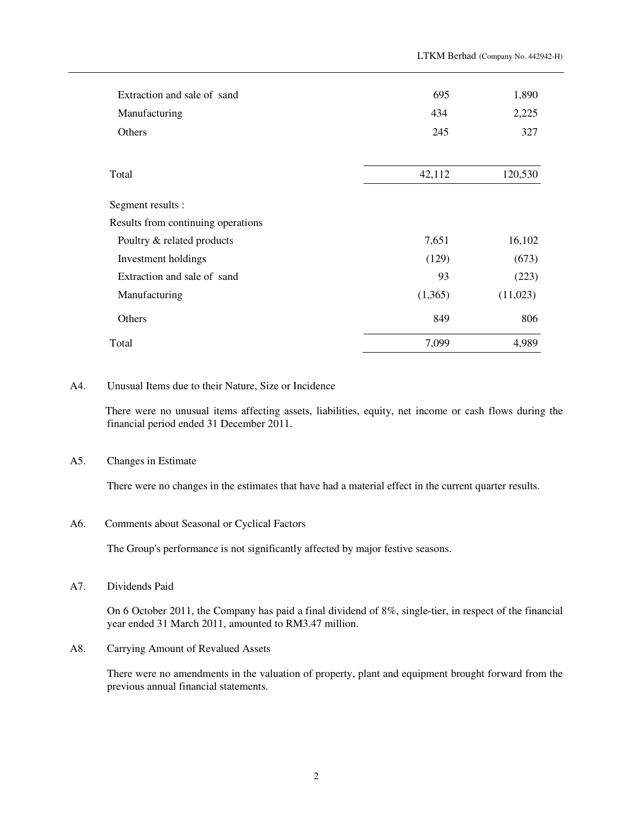| Extraction and sale of sand        | 695     | 1,890    |
|------------------------------------|---------|----------|
| Manufacturing                      | 434     | 2,225    |
| Others                             | 245     | 327      |
| Total                              | 42,112  | 120,530  |
| Segment results :                  |         |          |
| Results from continuing operations |         |          |
| Poultry & related products         | 7,651   | 16,102   |
| Investment holdings                | (129)   | (673)    |
| Extraction and sale of sand        | 93      | (223)    |
| Manufacturing                      | (1,365) | (11,023) |
| Others                             | 849     | 806      |
| Total                              | 7,099   | 4,989    |

### A4. Unusual Items due to their Nature, Size or Incidence

There were no unusual items affecting assets, liabilities, equity, net income or cash flows during the financial period ended 31 December 2011.

## A5. Changes in Estimate

There were no changes in the estimates that have had a material effect in the current quarter results.

#### A6. Comments about Seasonal or Cyclical Factors

The Group's performance is not significantly affected by major festive seasons.

A7. Dividends Paid

On 6 October 2011, the Company has paid a final dividend of 8%, single-tier, in respect of the financial year ended 31 March 2011, amounted to RM3.47 million.

A8. Carrying Amount of Revalued Assets

There were no amendments in the valuation of property, plant and equipment brought forward from the previous annual financial statements.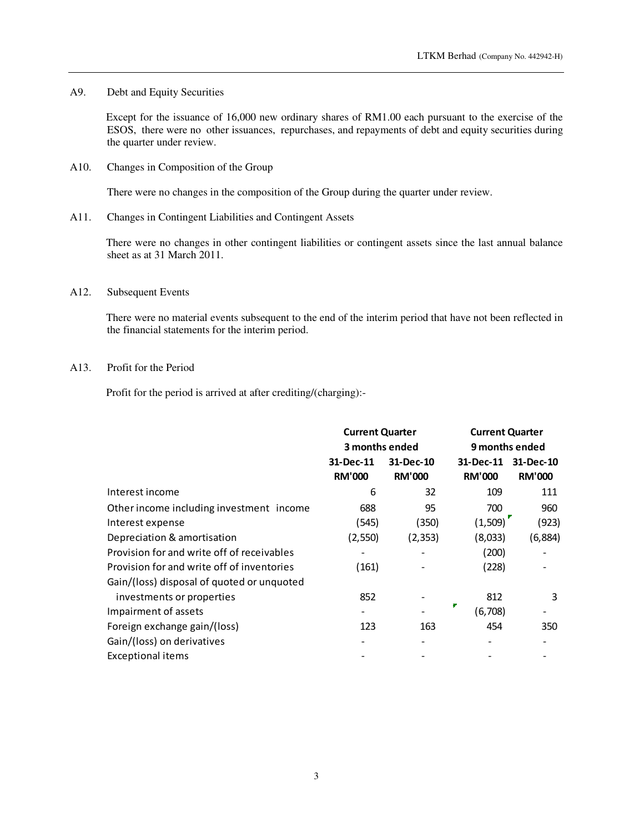A9. Debt and Equity Securities

Except for the issuance of 16,000 new ordinary shares of RM1.00 each pursuant to the exercise of the ESOS, there were no other issuances, repurchases, and repayments of debt and equity securities during the quarter under review.

A10. Changes in Composition of the Group

There were no changes in the composition of the Group during the quarter under review.

A11. Changes in Contingent Liabilities and Contingent Assets

There were no changes in other contingent liabilities or contingent assets since the last annual balance sheet as at 31 March 2011.

### A12. Subsequent Events

There were no material events subsequent to the end of the interim period that have not been reflected in the financial statements for the interim period.

## A13. Profit for the Period

Profit for the period is arrived at after crediting/(charging):-

|                                            | <b>Current Quarter</b><br>3 months ended |               | <b>Current Quarter</b> |                |
|--------------------------------------------|------------------------------------------|---------------|------------------------|----------------|
|                                            |                                          |               |                        | 9 months ended |
|                                            | 31-Dec-11                                | 31-Dec-10     | 31-Dec-11              | 31-Dec-10      |
|                                            | <b>RM'000</b>                            | <b>RM'000</b> | <b>RM'000</b>          | <b>RM'000</b>  |
| Interest income                            | 6                                        | 32            | 109                    | 111            |
| Other income including investment income   | 688                                      | 95            | 700                    | 960            |
| Interest expense                           | (545)                                    | (350)         | (1,509)                | (923)          |
| Depreciation & amortisation                | (2,550)                                  | (2, 353)      | (8,033)                | (6, 884)       |
| Provision for and write off of receivables |                                          |               | (200)                  |                |
| Provision for and write off of inventories | (161)                                    |               | (228)                  |                |
| Gain/(loss) disposal of quoted or unquoted |                                          |               |                        |                |
| investments or properties                  | 852                                      |               | 812                    | 3              |
| Impairment of assets                       | -                                        |               | (6,708)                |                |
| Foreign exchange gain/(loss)               | 123                                      | 163           | 454                    | 350            |
| Gain/(loss) on derivatives                 |                                          |               |                        |                |
| <b>Exceptional items</b>                   |                                          |               |                        |                |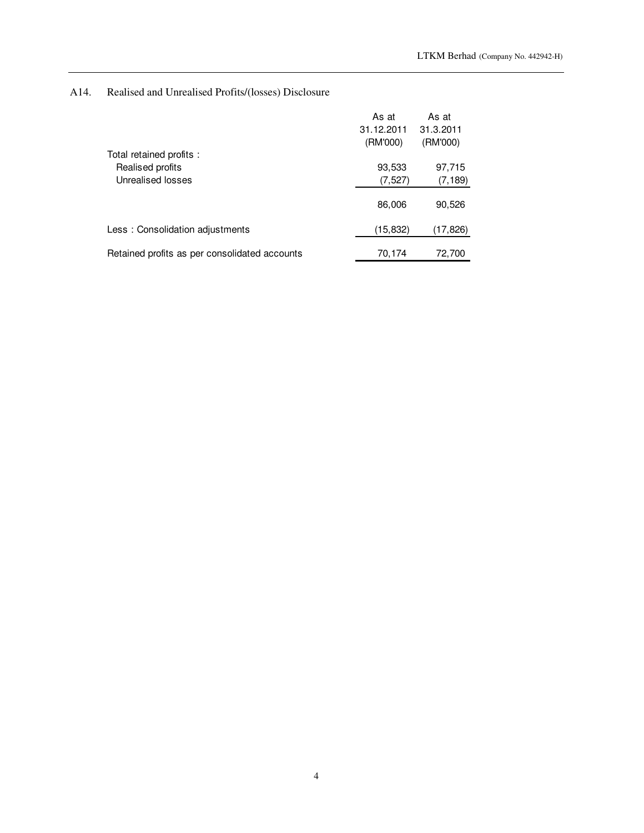# A14. Realised and Unrealised Profits/(losses) Disclosure

|                                               | As at<br>31.12.2011 | As at<br>31.3.2011 |
|-----------------------------------------------|---------------------|--------------------|
| Total retained profits:                       | (RM'000)            | (RM'000)           |
| Realised profits                              | 93,533              | 97,715             |
| Unrealised losses                             | (7, 527)            | (7, 189)           |
|                                               | 86,006              | 90,526             |
| Less: Consolidation adjustments               | (15, 832)           | (17, 826)          |
| Retained profits as per consolidated accounts | 70,174              | 72,700             |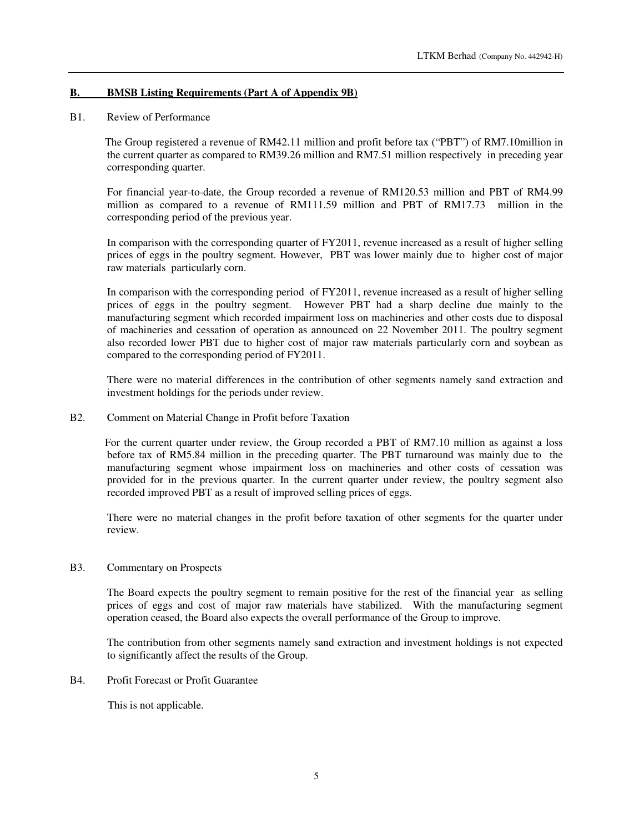# **B. BMSB Listing Requirements (Part A of Appendix 9B)**

### B1. Review of Performance

The Group registered a revenue of RM42.11 million and profit before tax ("PBT") of RM7.10million in the current quarter as compared to RM39.26 million and RM7.51 million respectively in preceding year corresponding quarter.

For financial year-to-date, the Group recorded a revenue of RM120.53 million and PBT of RM4.99 million as compared to a revenue of RM111.59 million and PBT of RM17.73 million in the corresponding period of the previous year.

In comparison with the corresponding quarter of FY2011, revenue increased as a result of higher selling prices of eggs in the poultry segment. However, PBT was lower mainly due to higher cost of major raw materials particularly corn.

In comparison with the corresponding period of FY2011, revenue increased as a result of higher selling prices of eggs in the poultry segment. However PBT had a sharp decline due mainly to the manufacturing segment which recorded impairment loss on machineries and other costs due to disposal of machineries and cessation of operation as announced on 22 November 2011. The poultry segment also recorded lower PBT due to higher cost of major raw materials particularly corn and soybean as compared to the corresponding period of FY2011.

There were no material differences in the contribution of other segments namely sand extraction and investment holdings for the periods under review.

#### B2. Comment on Material Change in Profit before Taxation

For the current quarter under review, the Group recorded a PBT of RM7.10 million as against a loss before tax of RM5.84 million in the preceding quarter. The PBT turnaround was mainly due to the manufacturing segment whose impairment loss on machineries and other costs of cessation was provided for in the previous quarter. In the current quarter under review, the poultry segment also recorded improved PBT as a result of improved selling prices of eggs.

There were no material changes in the profit before taxation of other segments for the quarter under review.

### B3. Commentary on Prospects

The Board expects the poultry segment to remain positive for the rest of the financial year as selling prices of eggs and cost of major raw materials have stabilized. With the manufacturing segment operation ceased, the Board also expects the overall performance of the Group to improve.

The contribution from other segments namely sand extraction and investment holdings is not expected to significantly affect the results of the Group.

B4. Profit Forecast or Profit Guarantee

This is not applicable.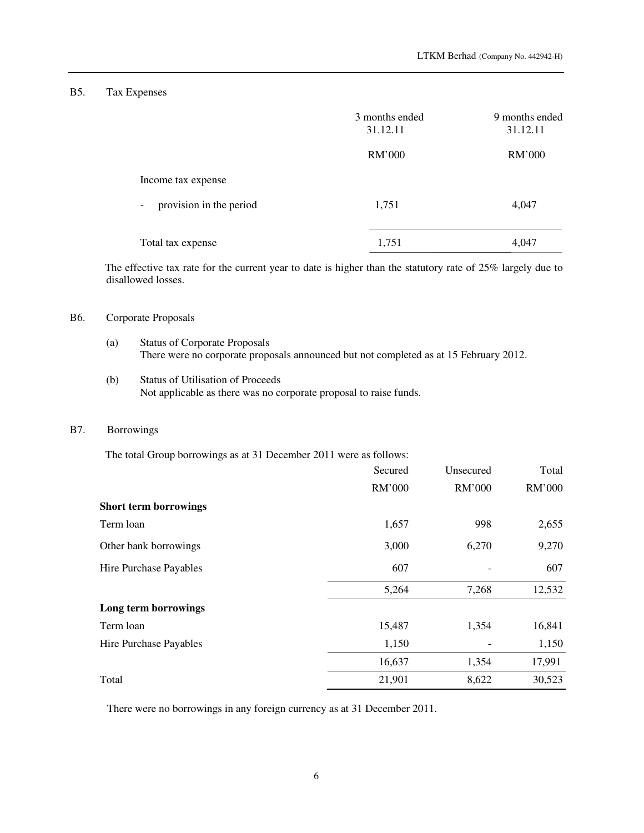## B5. Tax Expenses

|                                   | 3 months ended<br>31.12.11 | 9 months ended<br>31.12.11 |
|-----------------------------------|----------------------------|----------------------------|
|                                   | RM'000                     | RM'000                     |
| Income tax expense                |                            |                            |
| provision in the period<br>$\sim$ | 1,751                      | 4,047                      |
| Total tax expense                 | 1,751                      | 4,047                      |

The effective tax rate for the current year to date is higher than the statutory rate of 25% largely due to disallowed losses.

## B6. Corporate Proposals

- (a) Status of Corporate Proposals There were no corporate proposals announced but not completed as at 15 February 2012.
- (b) Status of Utilisation of Proceeds Not applicable as there was no corporate proposal to raise funds.

## B7. Borrowings

The total Group borrowings as at 31 December 2011 were as follows:

|                              | Secured | Unsecured | Total  |
|------------------------------|---------|-----------|--------|
|                              | RM'000  | RM'000    | RM'000 |
| <b>Short term borrowings</b> |         |           |        |
| Term loan                    | 1,657   | 998       | 2,655  |
| Other bank borrowings        | 3,000   | 6,270     | 9,270  |
| Hire Purchase Payables       | 607     |           | 607    |
|                              | 5,264   | 7,268     | 12,532 |
| Long term borrowings         |         |           |        |
| Term loan                    | 15,487  | 1,354     | 16,841 |
| Hire Purchase Payables       | 1,150   |           | 1,150  |
|                              | 16,637  | 1,354     | 17,991 |
| Total                        | 21,901  | 8,622     | 30,523 |

There were no borrowings in any foreign currency as at 31 December 2011.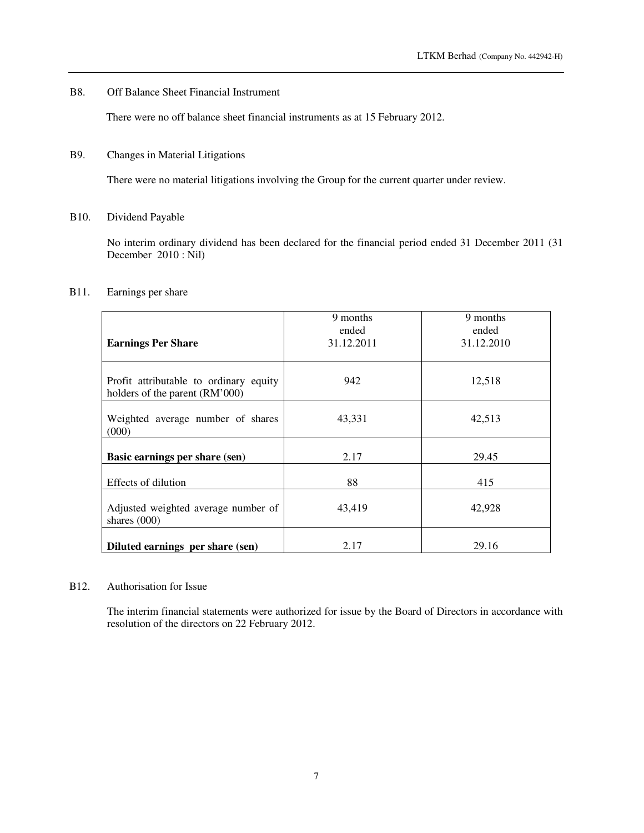## B8. Off Balance Sheet Financial Instrument

There were no off balance sheet financial instruments as at 15 February 2012.

## B9. Changes in Material Litigations

There were no material litigations involving the Group for the current quarter under review.

## B10. Dividend Payable

No interim ordinary dividend has been declared for the financial period ended 31 December 2011 (31 December 2010 : Nil)

## B11. Earnings per share

| <b>Earnings Per Share</b>                                                | 9 months<br>ended<br>31.12.2011 | 9 months<br>ended<br>31.12.2010 |
|--------------------------------------------------------------------------|---------------------------------|---------------------------------|
| Profit attributable to ordinary equity<br>holders of the parent (RM'000) | 942                             | 12,518                          |
| Weighted average number of shares<br>(000)                               | 43,331                          | 42,513                          |
| Basic earnings per share (sen)                                           | 2.17                            | 29.45                           |
| Effects of dilution                                                      | 88                              | 415                             |
| Adjusted weighted average number of<br>shares $(000)$                    | 43.419                          | 42,928                          |
| Diluted earnings per share (sen)                                         | 2.17                            | 29.16                           |

#### B12. Authorisation for Issue

 The interim financial statements were authorized for issue by the Board of Directors in accordance with resolution of the directors on 22 February 2012.